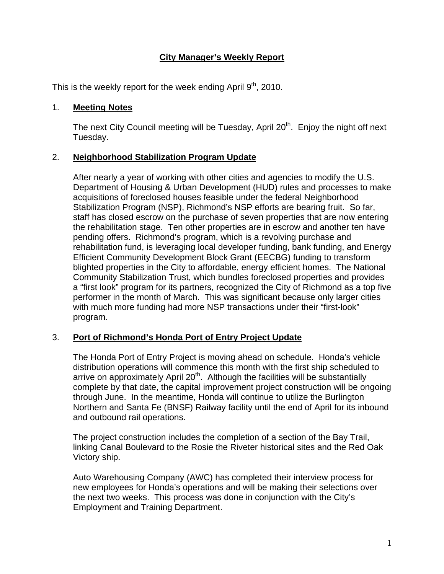# **City Manager's Weekly Report**

This is the weekly report for the week ending April  $9<sup>th</sup>$ , 2010.

#### 1. **Meeting Notes**

The next City Council meeting will be Tuesday, April 20<sup>th</sup>. Enjoy the night off next Tuesday.

## 2. **Neighborhood Stabilization Program Update**

After nearly a year of working with other cities and agencies to modify the U.S. Department of Housing & Urban Development (HUD) rules and processes to make acquisitions of foreclosed houses feasible under the federal Neighborhood Stabilization Program (NSP), Richmond's NSP efforts are bearing fruit. So far, staff has closed escrow on the purchase of seven properties that are now entering the rehabilitation stage. Ten other properties are in escrow and another ten have pending offers. Richmond's program, which is a revolving purchase and rehabilitation fund, is leveraging local developer funding, bank funding, and Energy Efficient Community Development Block Grant (EECBG) funding to transform blighted properties in the City to affordable, energy efficient homes. The National Community Stabilization Trust, which bundles foreclosed properties and provides a "first look" program for its partners, recognized the City of Richmond as a top five performer in the month of March. This was significant because only larger cities with much more funding had more NSP transactions under their "first-look" program.

## 3. **Port of Richmond's Honda Port of Entry Project Update**

The Honda Port of Entry Project is moving ahead on schedule. Honda's vehicle distribution operations will commence this month with the first ship scheduled to arrive on approximately April  $20<sup>th</sup>$ . Although the facilities will be substantially complete by that date, the capital improvement project construction will be ongoing through June. In the meantime, Honda will continue to utilize the Burlington Northern and Santa Fe (BNSF) Railway facility until the end of April for its inbound and outbound rail operations.

The project construction includes the completion of a section of the Bay Trail, linking Canal Boulevard to the Rosie the Riveter historical sites and the Red Oak Victory ship.

Auto Warehousing Company (AWC) has completed their interview process for new employees for Honda's operations and will be making their selections over the next two weeks. This process was done in conjunction with the City's Employment and Training Department.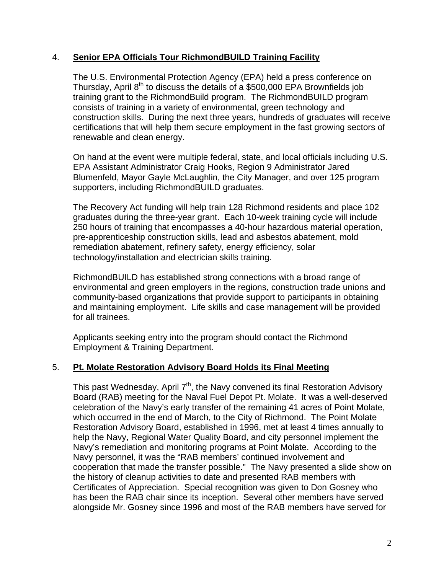#### 4. **Senior EPA Officials Tour RichmondBUILD Training Facility**

The U.S. Environmental Protection Agency (EPA) held a press conference on Thursday, April  $8<sup>th</sup>$  to discuss the details of a \$500,000 EPA Brownfields job training grant to the RichmondBuild program. The RichmondBUILD program consists of training in a variety of environmental, green technology and construction skills. During the next three years, hundreds of graduates will receive certifications that will help them secure employment in the fast growing sectors of renewable and clean energy.

On hand at the event were multiple federal, state, and local officials including U.S. EPA Assistant Administrator Craig Hooks, Region 9 Administrator Jared Blumenfeld, Mayor Gayle McLaughlin, the City Manager, and over 125 program supporters, including RichmondBUILD graduates.

The Recovery Act funding will help train 128 Richmond residents and place 102 graduates during the three-year grant. Each 10-week training cycle will include 250 hours of training that encompasses a 40-hour hazardous material operation, pre-apprenticeship construction skills, lead and asbestos abatement, mold remediation abatement, refinery safety, energy efficiency, solar technology/installation and electrician skills training.

RichmondBUILD has established strong connections with a broad range of environmental and green employers in the regions, construction trade unions and community-based organizations that provide support to participants in obtaining and maintaining employment. Life skills and case management will be provided for all trainees.

Applicants seeking entry into the program should contact the Richmond Employment & Training Department.

## 5. **Pt. Molate Restoration Advisory Board Holds its Final Meeting**

This past Wednesday, April  $7<sup>th</sup>$ , the Navy convened its final Restoration Advisory Board (RAB) meeting for the Naval Fuel Depot Pt. Molate. It was a well-deserved celebration of the Navy's early transfer of the remaining 41 acres of Point Molate, which occurred in the end of March, to the City of Richmond. The Point Molate Restoration Advisory Board, established in 1996, met at least 4 times annually to help the Navy, Regional Water Quality Board, and city personnel implement the Navy's remediation and monitoring programs at Point Molate. According to the Navy personnel, it was the "RAB members' continued involvement and cooperation that made the transfer possible." The Navy presented a slide show on the history of cleanup activities to date and presented RAB members with Certificates of Appreciation. Special recognition was given to Don Gosney who has been the RAB chair since its inception. Several other members have served alongside Mr. Gosney since 1996 and most of the RAB members have served for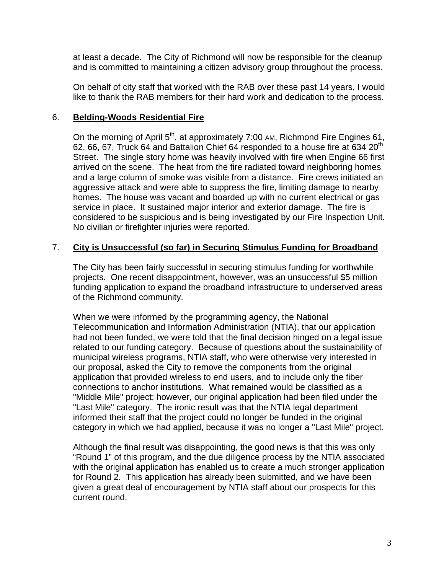at least a decade. The City of Richmond will now be responsible for the cleanup and is committed to maintaining a citizen advisory group throughout the process.

On behalf of city staff that worked with the RAB over these past 14 years, I would like to thank the RAB members for their hard work and dedication to the process.

#### 6. **Belding-Woods Residential Fire**

On the morning of April 5<sup>th</sup>, at approximately 7:00 AM, Richmond Fire Engines 61, 62, 66, 67, Truck 64 and Battalion Chief 64 responded to a house fire at 634 20th Street. The single story home was heavily involved with fire when Engine 66 first arrived on the scene. The heat from the fire radiated toward neighboring homes and a large column of smoke was visible from a distance. Fire crews initiated an aggressive attack and were able to suppress the fire, limiting damage to nearby homes. The house was vacant and boarded up with no current electrical or gas service in place. It sustained major interior and exterior damage. The fire is considered to be suspicious and is being investigated by our Fire Inspection Unit. No civilian or firefighter injuries were reported.

## 7. **City is Unsuccessful (so far) in Securing Stimulus Funding for Broadband**

The City has been fairly successful in securing stimulus funding for worthwhile projects. One recent disappointment, however, was an unsuccessful \$5 million funding application to expand the broadband infrastructure to underserved areas of the Richmond community.

When we were informed by the programming agency, the National Telecommunication and Information Administration (NTIA), that our application had not been funded, we were told that the final decision hinged on a legal issue related to our funding category. Because of questions about the sustainability of municipal wireless programs, NTIA staff, who were otherwise very interested in our proposal, asked the City to remove the components from the original application that provided wireless to end users, and to include only the fiber connections to anchor institutions. What remained would be classified as a "Middle Mile" project; however, our original application had been filed under the "Last Mile" category. The ironic result was that the NTIA legal department informed their staff that the project could no longer be funded in the original category in which we had applied, because it was no longer a "Last Mile" project.

Although the final result was disappointing, the good news is that this was only "Round 1" of this program, and the due diligence process by the NTIA associated with the original application has enabled us to create a much stronger application for Round 2. This application has already been submitted, and we have been given a great deal of encouragement by NTIA staff about our prospects for this current round.